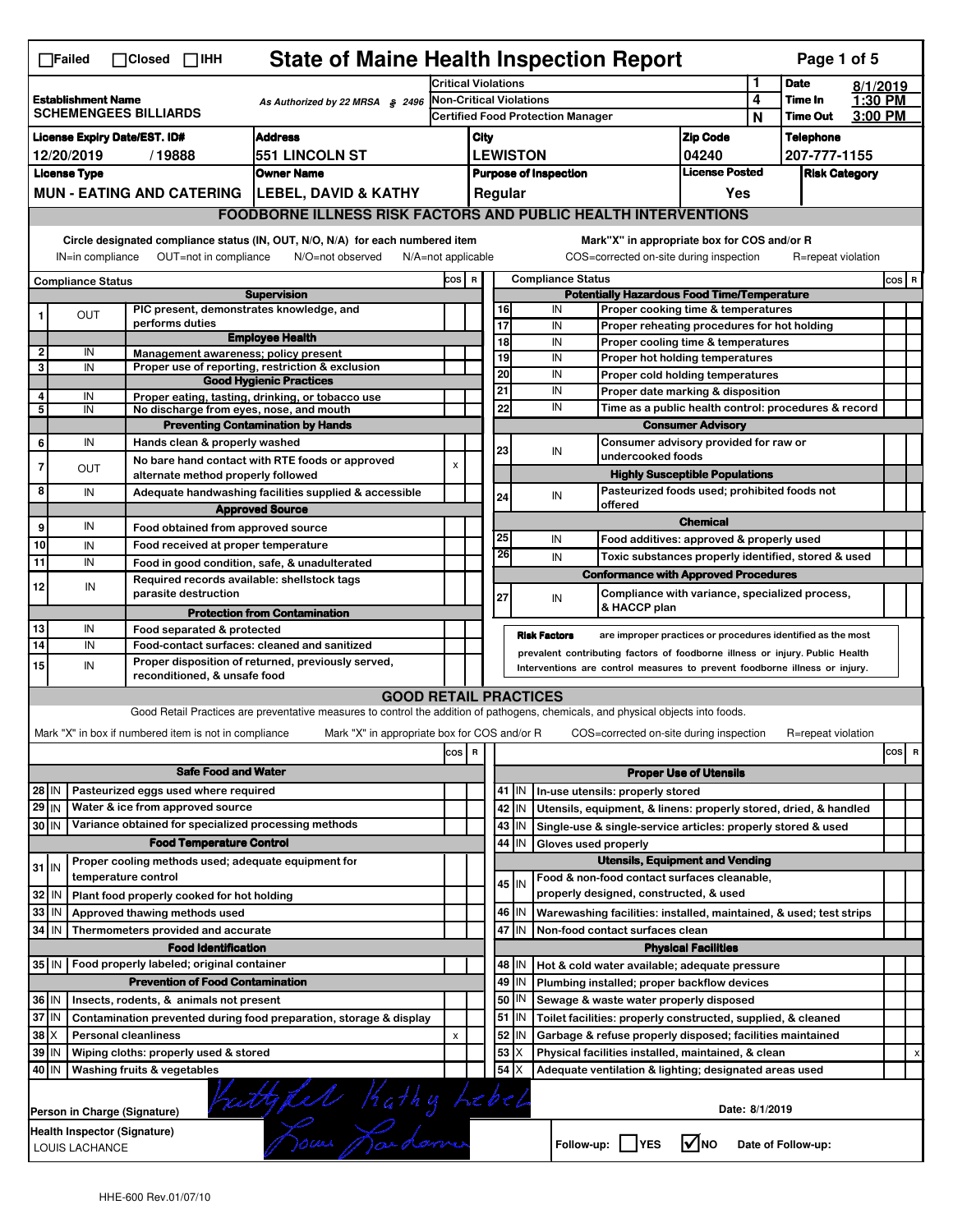| <b>State of Maine Health Inspection Report</b><br>Page 1 of 5<br>$\Box$ Failed<br>$\Box$ Closed $\Box$ IHH |                                                                                                                                                                                                                                                                                       |                                                                                 |                                                                                                                                   |                                                                        |                                          |          |         |                                                                                              |                                |                                                                                   |              |                            |                    |         |   |
|------------------------------------------------------------------------------------------------------------|---------------------------------------------------------------------------------------------------------------------------------------------------------------------------------------------------------------------------------------------------------------------------------------|---------------------------------------------------------------------------------|-----------------------------------------------------------------------------------------------------------------------------------|------------------------------------------------------------------------|------------------------------------------|----------|---------|----------------------------------------------------------------------------------------------|--------------------------------|-----------------------------------------------------------------------------------|--------------|----------------------------|--------------------|---------|---|
|                                                                                                            |                                                                                                                                                                                                                                                                                       |                                                                                 |                                                                                                                                   | Critical Violations                                                    |                                          |          |         |                                                                                              |                                |                                                                                   | 1            | <b>Date</b>                | 8/1/2019           |         |   |
|                                                                                                            | <b>Establishment Name</b>                                                                                                                                                                                                                                                             | <b>SCHEMENGEES BILLIARDS</b>                                                    | As Authorized by 22 MRSA § 2496                                                                                                   | <b>Non-Critical Violations</b>                                         |                                          |          |         |                                                                                              |                                |                                                                                   | 4            | Time In<br><b>Time Out</b> | 1:30 PM<br>3:00 PM |         |   |
|                                                                                                            |                                                                                                                                                                                                                                                                                       |                                                                                 |                                                                                                                                   |                                                                        | <b>Certified Food Protection Manager</b> |          |         |                                                                                              |                                |                                                                                   | N            |                            |                    |         |   |
| <b>Address</b><br><b>License Expiry Date/EST. ID#</b>                                                      |                                                                                                                                                                                                                                                                                       |                                                                                 |                                                                                                                                   | <b>Zip Code</b><br>City<br><b>LEWISTON</b>                             |                                          |          |         |                                                                                              |                                | <b>Telephone</b>                                                                  |              |                            |                    |         |   |
| <b>551 LINCOLN ST</b><br>12/20/2019<br>/19888<br><b>License Type</b>                                       |                                                                                                                                                                                                                                                                                       |                                                                                 |                                                                                                                                   |                                                                        |                                          |          |         |                                                                                              | 04240<br><b>License Posted</b> |                                                                                   | 207-777-1155 |                            |                    |         |   |
|                                                                                                            |                                                                                                                                                                                                                                                                                       |                                                                                 | <b>Owner Name</b>                                                                                                                 | <b>Purpose of Inspection</b><br><b>Risk Category</b><br>Regular<br>Yes |                                          |          |         |                                                                                              |                                |                                                                                   |              |                            |                    |         |   |
|                                                                                                            |                                                                                                                                                                                                                                                                                       |                                                                                 | MUN - EATING AND CATERING   LEBEL, DAVID & KATHY                                                                                  |                                                                        |                                          |          |         |                                                                                              |                                |                                                                                   |              |                            |                    |         |   |
|                                                                                                            |                                                                                                                                                                                                                                                                                       |                                                                                 | <b>FOODBORNE ILLNESS RISK FACTORS AND PUBLIC HEALTH INTERVENTIONS</b>                                                             |                                                                        |                                          |          |         |                                                                                              |                                |                                                                                   |              |                            |                    |         |   |
|                                                                                                            | Circle designated compliance status (IN, OUT, N/O, N/A) for each numbered item<br>Mark"X" in appropriate box for COS and/or R<br>IN=in compliance<br>OUT=not in compliance<br>N/O=not observed<br>N/A=not applicable<br>COS=corrected on-site during inspection<br>R=repeat violation |                                                                                 |                                                                                                                                   |                                                                        |                                          |          |         |                                                                                              |                                |                                                                                   |              |                            |                    |         |   |
|                                                                                                            | <b>Compliance Status</b>                                                                                                                                                                                                                                                              |                                                                                 |                                                                                                                                   | COS R                                                                  |                                          |          |         | <b>Compliance Status</b>                                                                     |                                |                                                                                   |              |                            |                    | $cos$ R |   |
|                                                                                                            |                                                                                                                                                                                                                                                                                       |                                                                                 | <b>Supervision</b>                                                                                                                |                                                                        |                                          |          |         |                                                                                              |                                | <b>Potentially Hazardous Food Time/Temperature</b>                                |              |                            |                    |         |   |
| 1                                                                                                          | <b>OUT</b>                                                                                                                                                                                                                                                                            | PIC present, demonstrates knowledge, and<br>performs duties                     |                                                                                                                                   |                                                                        |                                          | 16<br>17 |         | IN<br>IN                                                                                     |                                | Proper cooking time & temperatures                                                |              |                            |                    |         |   |
|                                                                                                            |                                                                                                                                                                                                                                                                                       |                                                                                 | <b>Employee Health</b>                                                                                                            |                                                                        |                                          | 18       |         | IN                                                                                           |                                | Proper reheating procedures for hot holding<br>Proper cooling time & temperatures |              |                            |                    |         |   |
| $\mathbf 2$                                                                                                | IN                                                                                                                                                                                                                                                                                    | Management awareness; policy present                                            |                                                                                                                                   |                                                                        |                                          | 19       |         | IN                                                                                           |                                | Proper hot holding temperatures                                                   |              |                            |                    |         |   |
| 3                                                                                                          | IN                                                                                                                                                                                                                                                                                    |                                                                                 | Proper use of reporting, restriction & exclusion                                                                                  |                                                                        |                                          | 20       |         | IN                                                                                           |                                | Proper cold holding temperatures                                                  |              |                            |                    |         |   |
| 4                                                                                                          | IN                                                                                                                                                                                                                                                                                    |                                                                                 | <b>Good Hygienic Practices</b><br>Proper eating, tasting, drinking, or tobacco use                                                |                                                                        |                                          | 21       |         | IN                                                                                           |                                | Proper date marking & disposition                                                 |              |                            |                    |         |   |
| 5                                                                                                          | IN                                                                                                                                                                                                                                                                                    | No discharge from eyes, nose, and mouth                                         |                                                                                                                                   |                                                                        |                                          | 22       |         | IN                                                                                           |                                | Time as a public health control: procedures & record                              |              |                            |                    |         |   |
|                                                                                                            |                                                                                                                                                                                                                                                                                       |                                                                                 | <b>Preventing Contamination by Hands</b>                                                                                          |                                                                        |                                          |          |         |                                                                                              |                                | <b>Consumer Advisory</b>                                                          |              |                            |                    |         |   |
| 6                                                                                                          | IN                                                                                                                                                                                                                                                                                    | Hands clean & properly washed                                                   |                                                                                                                                   |                                                                        |                                          | 23       |         | IN                                                                                           |                                | Consumer advisory provided for raw or                                             |              |                            |                    |         |   |
| 7                                                                                                          | <b>OUT</b>                                                                                                                                                                                                                                                                            |                                                                                 | No bare hand contact with RTE foods or approved                                                                                   | X                                                                      |                                          |          |         |                                                                                              | undercooked foods              |                                                                                   |              |                            |                    |         |   |
|                                                                                                            |                                                                                                                                                                                                                                                                                       | alternate method properly followed                                              |                                                                                                                                   |                                                                        |                                          |          |         |                                                                                              |                                | <b>Highly Susceptible Populations</b>                                             |              |                            |                    |         |   |
| 8                                                                                                          | IN                                                                                                                                                                                                                                                                                    |                                                                                 | Adequate handwashing facilities supplied & accessible                                                                             |                                                                        |                                          | 24       |         | IN                                                                                           | offered                        | Pasteurized foods used; prohibited foods not                                      |              |                            |                    |         |   |
|                                                                                                            |                                                                                                                                                                                                                                                                                       |                                                                                 | <b>Approved Source</b>                                                                                                            |                                                                        |                                          |          |         |                                                                                              |                                | <b>Chemical</b>                                                                   |              |                            |                    |         |   |
| 9                                                                                                          | IN                                                                                                                                                                                                                                                                                    | Food obtained from approved source                                              |                                                                                                                                   |                                                                        |                                          | 25       |         | IN                                                                                           |                                | Food additives: approved & properly used                                          |              |                            |                    |         |   |
| 10                                                                                                         | IN                                                                                                                                                                                                                                                                                    | Food received at proper temperature                                             |                                                                                                                                   |                                                                        |                                          | 26       |         | IN                                                                                           |                                | Toxic substances properly identified, stored & used                               |              |                            |                    |         |   |
| 11                                                                                                         | IN                                                                                                                                                                                                                                                                                    | Food in good condition, safe, & unadulterated                                   |                                                                                                                                   |                                                                        |                                          |          |         |                                                                                              |                                | <b>Conformance with Approved Procedures</b>                                       |              |                            |                    |         |   |
| 12                                                                                                         | IN                                                                                                                                                                                                                                                                                    | Required records available: shellstock tags<br>parasite destruction             |                                                                                                                                   |                                                                        |                                          |          |         |                                                                                              |                                | Compliance with variance, specialized process,                                    |              |                            |                    |         |   |
|                                                                                                            |                                                                                                                                                                                                                                                                                       |                                                                                 | <b>Protection from Contamination</b>                                                                                              |                                                                        |                                          | 27       |         | IN                                                                                           | & HACCP plan                   |                                                                                   |              |                            |                    |         |   |
| 13                                                                                                         | IN                                                                                                                                                                                                                                                                                    | Food separated & protected                                                      |                                                                                                                                   |                                                                        |                                          |          |         |                                                                                              |                                |                                                                                   |              |                            |                    |         |   |
| 14                                                                                                         | IN                                                                                                                                                                                                                                                                                    | Food-contact surfaces: cleaned and sanitized                                    |                                                                                                                                   |                                                                        |                                          |          |         | <b>Risk Factors</b>                                                                          |                                | are improper practices or procedures identified as the most                       |              |                            |                    |         |   |
| 15                                                                                                         | IN                                                                                                                                                                                                                                                                                    |                                                                                 | Proper disposition of returned, previously served,                                                                                |                                                                        |                                          |          |         | prevalent contributing factors of foodborne illness or injury. Public Health                 |                                |                                                                                   |              |                            |                    |         |   |
|                                                                                                            | Interventions are control measures to prevent foodborne illness or injury.<br>reconditioned, & unsafe food                                                                                                                                                                            |                                                                                 |                                                                                                                                   |                                                                        |                                          |          |         |                                                                                              |                                |                                                                                   |              |                            |                    |         |   |
|                                                                                                            |                                                                                                                                                                                                                                                                                       |                                                                                 | <b>GOOD RETAIL PRACTICES</b>                                                                                                      |                                                                        |                                          |          |         |                                                                                              |                                |                                                                                   |              |                            |                    |         |   |
|                                                                                                            |                                                                                                                                                                                                                                                                                       |                                                                                 | Good Retail Practices are preventative measures to control the addition of pathogens, chemicals, and physical objects into foods. |                                                                        |                                          |          |         |                                                                                              |                                |                                                                                   |              |                            |                    |         |   |
|                                                                                                            |                                                                                                                                                                                                                                                                                       | Mark "X" in box if numbered item is not in compliance                           | Mark "X" in appropriate box for COS and/or R                                                                                      |                                                                        |                                          |          |         |                                                                                              |                                | COS=corrected on-site during inspection                                           |              | R=repeat violation         |                    |         |   |
|                                                                                                            |                                                                                                                                                                                                                                                                                       |                                                                                 |                                                                                                                                   | cos   R                                                                |                                          |          |         |                                                                                              |                                |                                                                                   |              |                            |                    | cos     | R |
|                                                                                                            |                                                                                                                                                                                                                                                                                       | <b>Safe Food and Water</b>                                                      |                                                                                                                                   |                                                                        |                                          |          |         |                                                                                              |                                | <b>Proper Use of Utensils</b>                                                     |              |                            |                    |         |   |
| 28 IN                                                                                                      |                                                                                                                                                                                                                                                                                       | Pasteurized eggs used where required                                            |                                                                                                                                   |                                                                        |                                          |          |         | 41   IN   In-use utensils: properly stored                                                   |                                |                                                                                   |              |                            |                    |         |   |
| 29 IN                                                                                                      |                                                                                                                                                                                                                                                                                       | Water & ice from approved source                                                |                                                                                                                                   |                                                                        |                                          |          | 42   IN | Utensils, equipment, & linens: properly stored, dried, & handled                             |                                |                                                                                   |              |                            |                    |         |   |
| 30 IN                                                                                                      |                                                                                                                                                                                                                                                                                       | Variance obtained for specialized processing methods                            |                                                                                                                                   |                                                                        |                                          |          | 43 IN   | Single-use & single-service articles: properly stored & used                                 |                                |                                                                                   |              |                            |                    |         |   |
|                                                                                                            |                                                                                                                                                                                                                                                                                       | <b>Food Temperature Control</b>                                                 |                                                                                                                                   |                                                                        |                                          | 44       | IN      | Gloves used properly                                                                         |                                |                                                                                   |              |                            |                    |         |   |
| $31$ IN                                                                                                    |                                                                                                                                                                                                                                                                                       | Proper cooling methods used; adequate equipment for                             |                                                                                                                                   |                                                                        |                                          |          |         |                                                                                              |                                | <b>Utensils, Equipment and Vending</b>                                            |              |                            |                    |         |   |
|                                                                                                            |                                                                                                                                                                                                                                                                                       | temperature control                                                             |                                                                                                                                   |                                                                        |                                          |          | 45 IN   | Food & non-food contact surfaces cleanable,                                                  |                                |                                                                                   |              |                            |                    |         |   |
| 32 IN                                                                                                      |                                                                                                                                                                                                                                                                                       | Plant food properly cooked for hot holding                                      |                                                                                                                                   |                                                                        |                                          |          |         | properly designed, constructed, & used                                                       |                                |                                                                                   |              |                            |                    |         |   |
| 33   IN                                                                                                    |                                                                                                                                                                                                                                                                                       | Approved thawing methods used                                                   |                                                                                                                                   |                                                                        |                                          |          | 46 IN   | Warewashing facilities: installed, maintained, & used; test strips                           |                                |                                                                                   |              |                            |                    |         |   |
| 34 IN                                                                                                      |                                                                                                                                                                                                                                                                                       | Thermometers provided and accurate                                              |                                                                                                                                   |                                                                        |                                          | 47       | IN      | Non-food contact surfaces clean                                                              |                                |                                                                                   |              |                            |                    |         |   |
|                                                                                                            |                                                                                                                                                                                                                                                                                       | <b>Food Identification</b><br>35 IN   Food properly labeled; original container |                                                                                                                                   |                                                                        |                                          |          | 48   IN |                                                                                              |                                | <b>Physical Facilities</b>                                                        |              |                            |                    |         |   |
|                                                                                                            |                                                                                                                                                                                                                                                                                       | <b>Prevention of Food Contamination</b>                                         |                                                                                                                                   |                                                                        |                                          |          | 49 IN   | Hot & cold water available; adequate pressure<br>Plumbing installed; proper backflow devices |                                |                                                                                   |              |                            |                    |         |   |
| 36 IN                                                                                                      |                                                                                                                                                                                                                                                                                       |                                                                                 |                                                                                                                                   |                                                                        |                                          | 50       | IN      |                                                                                              |                                |                                                                                   |              |                            |                    |         |   |
| 37 IN                                                                                                      | Insects, rodents, & animals not present<br>Sewage & waste water properly disposed<br>$51$ $\vert$ IN<br>Toilet facilities: properly constructed, supplied, & cleaned<br>Contamination prevented during food preparation, storage & display                                            |                                                                                 |                                                                                                                                   |                                                                        |                                          |          |         |                                                                                              |                                |                                                                                   |              |                            |                    |         |   |
| 38 X                                                                                                       |                                                                                                                                                                                                                                                                                       | <b>Personal cleanliness</b>                                                     |                                                                                                                                   | X                                                                      |                                          | 52       | IN      | Garbage & refuse properly disposed; facilities maintained                                    |                                |                                                                                   |              |                            |                    |         |   |
| 39 IN                                                                                                      |                                                                                                                                                                                                                                                                                       | Wiping cloths: properly used & stored                                           |                                                                                                                                   |                                                                        |                                          | 53       | ΙX      | Physical facilities installed, maintained, & clean                                           |                                |                                                                                   |              |                            |                    |         | х |
| 40 IN                                                                                                      |                                                                                                                                                                                                                                                                                       | Washing fruits & vegetables                                                     |                                                                                                                                   |                                                                        |                                          | 54       | ΙX      | Adequate ventilation & lighting; designated areas used                                       |                                |                                                                                   |              |                            |                    |         |   |
|                                                                                                            |                                                                                                                                                                                                                                                                                       |                                                                                 |                                                                                                                                   |                                                                        |                                          |          |         |                                                                                              |                                |                                                                                   |              |                            |                    |         |   |
|                                                                                                            |                                                                                                                                                                                                                                                                                       |                                                                                 |                                                                                                                                   |                                                                        |                                          |          |         |                                                                                              |                                |                                                                                   |              |                            |                    |         |   |
|                                                                                                            | Date: 8/1/2019<br>Person in Charge (Signature)                                                                                                                                                                                                                                        |                                                                                 |                                                                                                                                   |                                                                        |                                          |          |         |                                                                                              |                                |                                                                                   |              |                            |                    |         |   |
|                                                                                                            | rity fell Kathy Lebel<br>Health Inspector (Signature)<br>√Мо<br>Follow-up: YES<br>Date of Follow-up:<br>LOUIS LACHANCE                                                                                                                                                                |                                                                                 |                                                                                                                                   |                                                                        |                                          |          |         |                                                                                              |                                |                                                                                   |              |                            |                    |         |   |
|                                                                                                            |                                                                                                                                                                                                                                                                                       |                                                                                 |                                                                                                                                   |                                                                        |                                          |          |         |                                                                                              |                                |                                                                                   |              |                            |                    |         |   |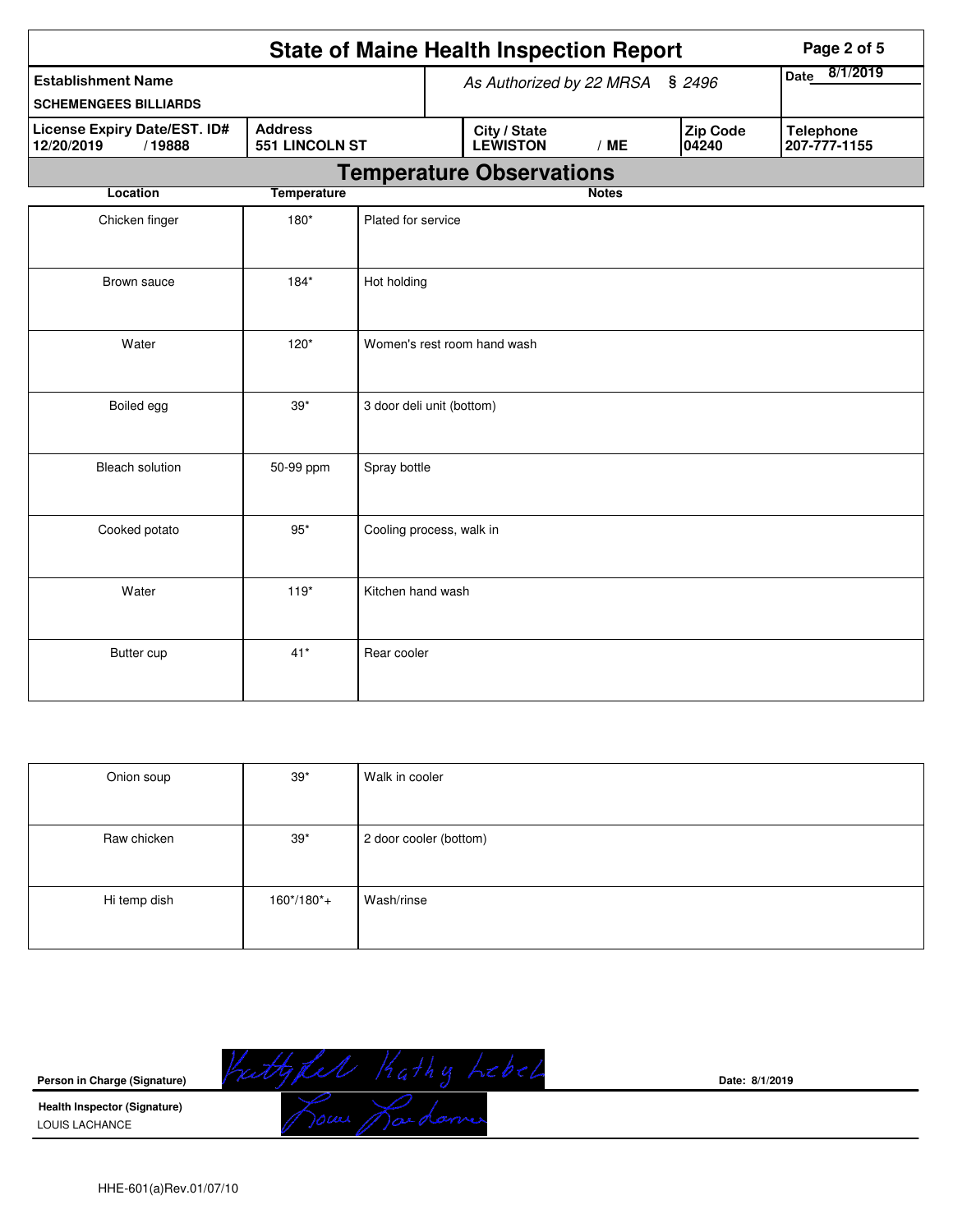|                                                           |                    | <b>State of Maine Health Inspection Report</b> |                  |                          |                                  | Page 2 of 5 |
|-----------------------------------------------------------|--------------------|------------------------------------------------|------------------|--------------------------|----------------------------------|-------------|
| <b>Establishment Name</b><br><b>SCHEMENGEES BILLIARDS</b> |                    | As Authorized by 22 MRSA § 2496                | 8/1/2019<br>Date |                          |                                  |             |
| License Expiry Date/EST. ID#<br>12/20/2019<br>/19888      | 551 LINCOLN ST     | City / State<br><b>LEWISTON</b>                | /ME              | <b>Zip Code</b><br>04240 | <b>Telephone</b><br>207-777-1155 |             |
|                                                           |                    | <b>Temperature Observations</b>                |                  |                          |                                  |             |
| <b>Location</b>                                           | <b>Temperature</b> |                                                |                  | <b>Notes</b>             |                                  |             |
| Chicken finger                                            | $180*$             | Plated for service                             |                  |                          |                                  |             |
| Brown sauce                                               | $184*$             | Hot holding                                    |                  |                          |                                  |             |
| Water                                                     | $120*$             | Women's rest room hand wash                    |                  |                          |                                  |             |
| Boiled egg                                                | $39*$              | 3 door deli unit (bottom)                      |                  |                          |                                  |             |
| <b>Bleach solution</b>                                    | 50-99 ppm          | Spray bottle                                   |                  |                          |                                  |             |
| Cooked potato                                             | $95*$              | Cooling process, walk in                       |                  |                          |                                  |             |
| Water                                                     | $119*$             | Kitchen hand wash                              |                  |                          |                                  |             |
| Butter cup                                                | $41*$              | Rear cooler                                    |                  |                          |                                  |             |

| Onion soup   | $39*$       | Walk in cooler         |
|--------------|-------------|------------------------|
|              |             |                        |
| Raw chicken  | $39*$       | 2 door cooler (bottom) |
|              |             |                        |
| Hi temp dish | $160*/180*$ | Wash/rinse             |
|              |             |                        |

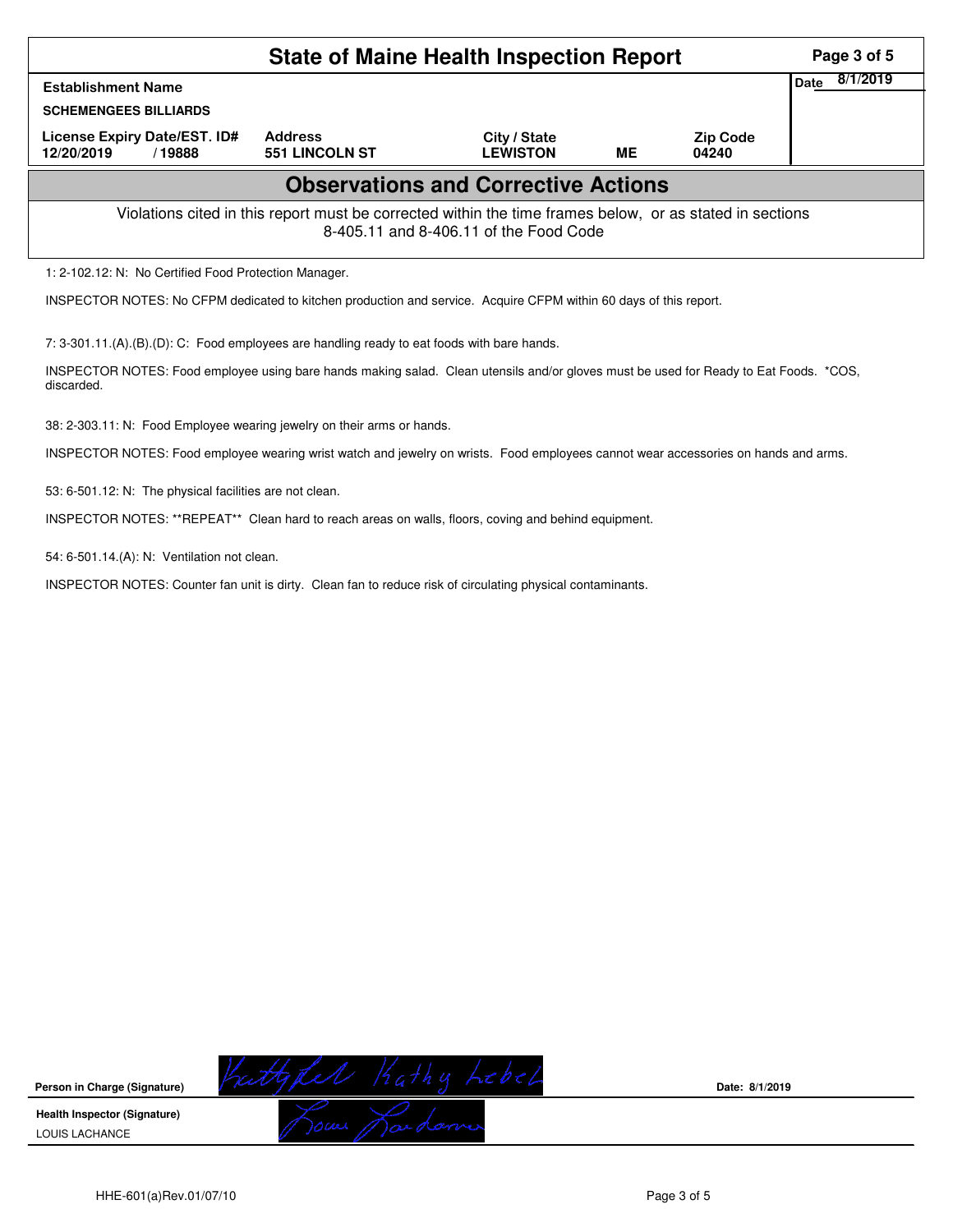|                                                                                                                                                    | Page 3 of 5                      |                                 |    |                          |                  |  |  |  |
|----------------------------------------------------------------------------------------------------------------------------------------------------|----------------------------------|---------------------------------|----|--------------------------|------------------|--|--|--|
| <b>Establishment Name</b>                                                                                                                          |                                  |                                 |    |                          | 8/1/2019<br>Date |  |  |  |
| <b>SCHEMENGEES BILLIARDS</b>                                                                                                                       |                                  |                                 |    |                          |                  |  |  |  |
| License Expiry Date/EST. ID#<br>12/20/2019<br>/ 19888                                                                                              | <b>Address</b><br>551 LINCOLN ST | City / State<br><b>LEWISTON</b> | ME | <b>Zip Code</b><br>04240 |                  |  |  |  |
| <b>Observations and Corrective Actions</b>                                                                                                         |                                  |                                 |    |                          |                  |  |  |  |
| Violations cited in this report must be corrected within the time frames below, or as stated in sections<br>8-405.11 and 8-406.11 of the Food Code |                                  |                                 |    |                          |                  |  |  |  |
| 1: 2-102.12: N: No Certified Food Protection Manager.                                                                                              |                                  |                                 |    |                          |                  |  |  |  |
| INSPECTOR NOTES: No CFPM dedicated to kitchen production and service. Acquire CFPM within 60 days of this report.                                  |                                  |                                 |    |                          |                  |  |  |  |

7: 3-301.11.(A).(B).(D): C: Food employees are handling ready to eat foods with bare hands.

INSPECTOR NOTES: Food employee using bare hands making salad. Clean utensils and/or gloves must be used for Ready to Eat Foods. \*COS, discarded.

38: 2-303.11: N: Food Employee wearing jewelry on their arms or hands.

INSPECTOR NOTES: Food employee wearing wrist watch and jewelry on wrists. Food employees cannot wear accessories on hands and arms.

53: 6-501.12: N: The physical facilities are not clean.

INSPECTOR NOTES: \*\*REPEAT\*\* Clean hard to reach areas on walls, floors, coving and behind equipment.

54: 6-501.14.(A): N: Ventilation not clean.

INSPECTOR NOTES: Counter fan unit is dirty. Clean fan to reduce risk of circulating physical contaminants.



**Date: 8/1/2019**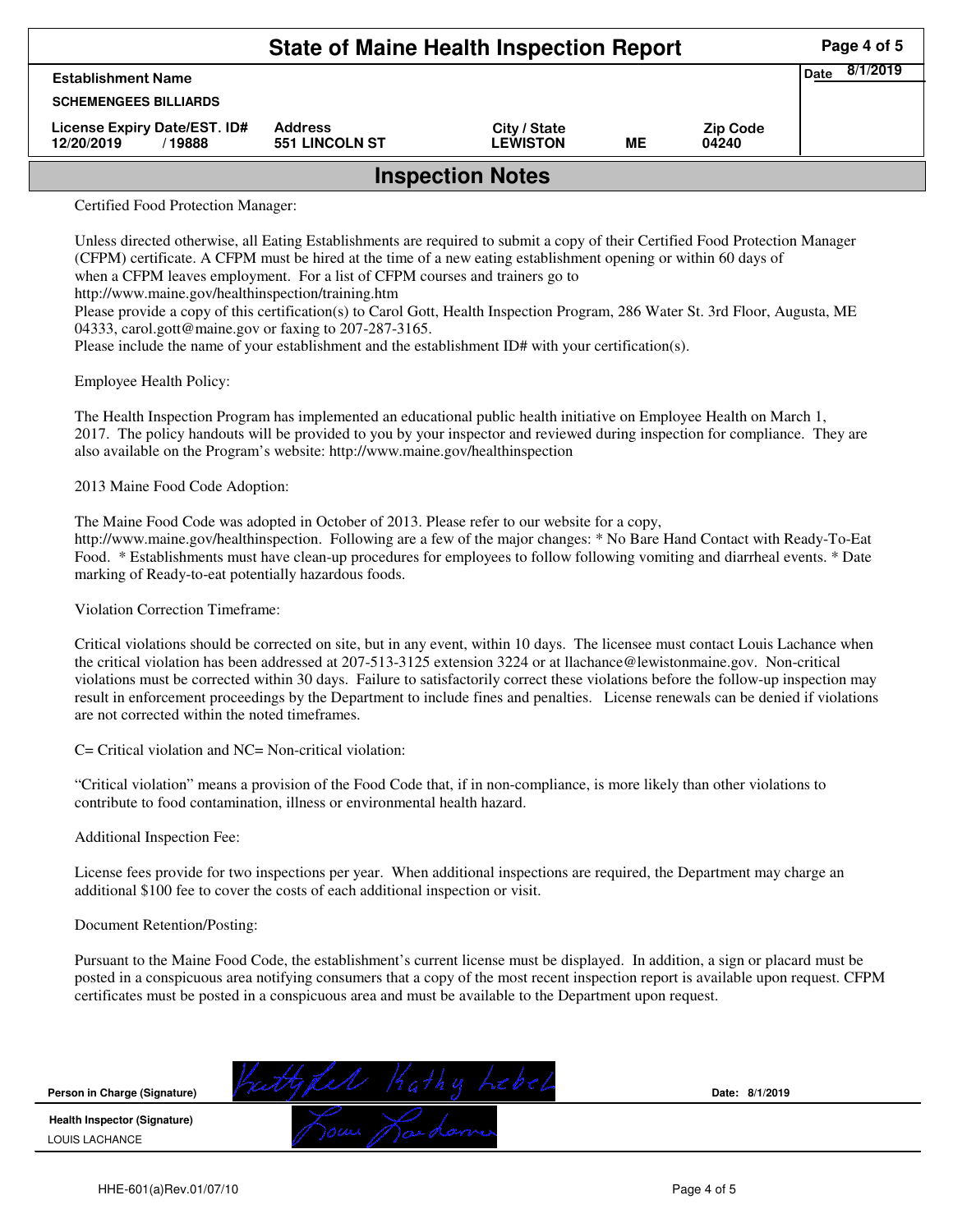|                                                      | Page 4 of 5                             |                                 |           |                          |  |  |  |
|------------------------------------------------------|-----------------------------------------|---------------------------------|-----------|--------------------------|--|--|--|
| <b>Establishment Name</b>                            | 8/1/2019<br><b>Date</b>                 |                                 |           |                          |  |  |  |
| <b>SCHEMENGEES BILLIARDS</b>                         |                                         |                                 |           |                          |  |  |  |
| License Expiry Date/EST. ID#<br>12/20/2019<br>/19888 | <b>Address</b><br><b>551 LINCOLN ST</b> | City / State<br><b>LEWISTON</b> | <b>ME</b> | <b>Zip Code</b><br>04240 |  |  |  |
| <b>Inspection Notes</b>                              |                                         |                                 |           |                          |  |  |  |

Certified Food Protection Manager:

Unless directed otherwise, all Eating Establishments are required to submit a copy of their Certified Food Protection Manager (CFPM) certificate. A CFPM must be hired at the time of a new eating establishment opening or within 60 days of when a CFPM leaves employment. For a list of CFPM courses and trainers go to

http://www.maine.gov/healthinspection/training.htm

Please provide a copy of this certification(s) to Carol Gott, Health Inspection Program, 286 Water St. 3rd Floor, Augusta, ME 04333, carol.gott@maine.gov or faxing to 207-287-3165.

Please include the name of your establishment and the establishment ID# with your certification(s).

Employee Health Policy:

The Health Inspection Program has implemented an educational public health initiative on Employee Health on March 1, 2017. The policy handouts will be provided to you by your inspector and reviewed during inspection for compliance. They are also available on the Program's website: http://www.maine.gov/healthinspection

2013 Maine Food Code Adoption:

The Maine Food Code was adopted in October of 2013. Please refer to our website for a copy, http://www.maine.gov/healthinspection. Following are a few of the major changes: \* No Bare Hand Contact with Ready-To-Eat

Food. \* Establishments must have clean-up procedures for employees to follow following vomiting and diarrheal events. \* Date marking of Ready-to-eat potentially hazardous foods.

Violation Correction Timeframe:

Critical violations should be corrected on site, but in any event, within 10 days. The licensee must contact Louis Lachance when the critical violation has been addressed at 207-513-3125 extension 3224 or at llachance@lewistonmaine.gov. Non-critical violations must be corrected within 30 days. Failure to satisfactorily correct these violations before the follow-up inspection may result in enforcement proceedings by the Department to include fines and penalties. License renewals can be denied if violations are not corrected within the noted timeframes.

C= Critical violation and NC= Non-critical violation:

"Critical violation" means a provision of the Food Code that, if in non-compliance, is more likely than other violations to contribute to food contamination, illness or environmental health hazard.

Additional Inspection Fee:

License fees provide for two inspections per year. When additional inspections are required, the Department may charge an additional \$100 fee to cover the costs of each additional inspection or visit.

## Document Retention/Posting:

Pursuant to the Maine Food Code, the establishment's current license must be displayed. In addition, a sign or placard must be posted in a conspicuous area notifying consumers that a copy of the most recent inspection report is available upon request. CFPM certificates must be posted in a conspicuous area and must be available to the Department upon request.

| Person in Charge (Signature)                          |     | Date: 8/1/2019 |
|-------------------------------------------------------|-----|----------------|
| <b>Health Inspector (Signature)</b><br>LOUIS LACHANCE | ハハー |                |